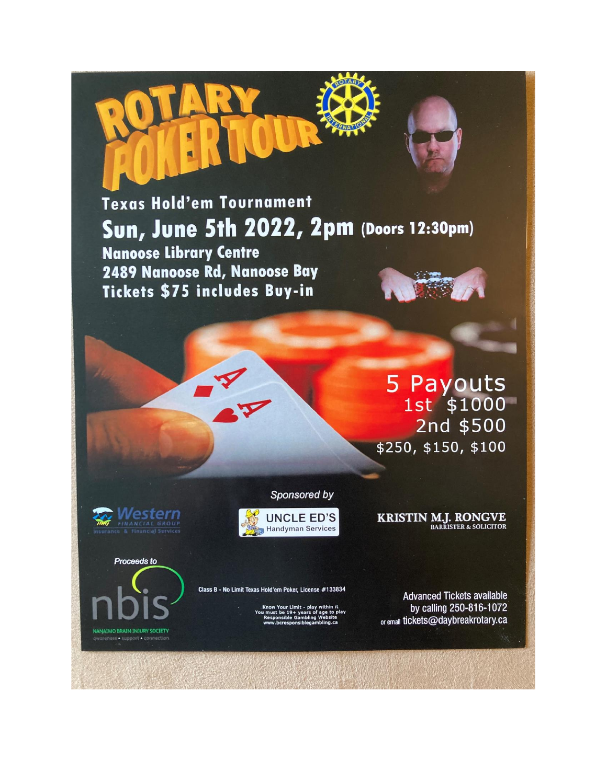Texas Hold'em Tournament Sun, June 5th 2022, 2pm (Doors 12:30pm) **Nanoose Library Centre** 2489 Nanoose Rd, Nanoose Bay

> 5 Payouts<br>1st \$1000 2nd \$500 \$250, \$150, \$100

este

**Proceeds to** 

**JANAIMO BRAIN INJURY SOCIETY** 

**UNCLE ED'S Handyman Services** 

Sponsored by

**KRISTIN M.J. RONGVE**<br>BARRISTER & SOLICITOR

Class B - No Limit Texas Hold'em Poker, License #133834

Tickets \$75 includes Buy-in

**Advanced Tickets available** by calling 250-816-1072 or email tickets@daybreakrotary.ca